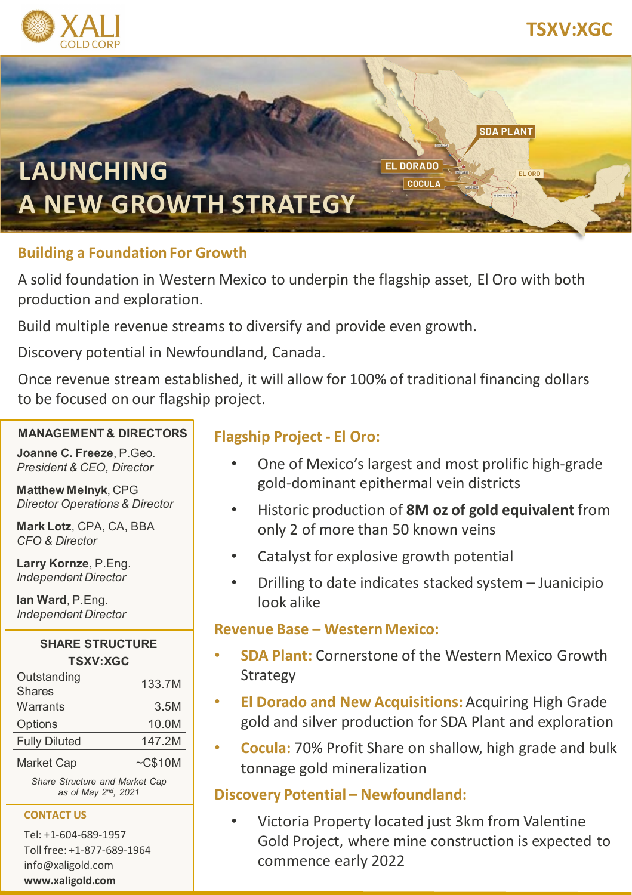



## **Building a Foundation For Growth**

A solid foundation in Western Mexico to underpin the flagship asset, El Oro with both production and exploration.

Build multiple revenue streams to diversify and provide even growth.

Discovery potential in Newfoundland, Canada.

Once revenue stream established, it will allow for 100% of traditional financing dollars to be focused on our flagship project.

#### **MANAGEMENT & DIRECTORS**

**Joanne C. Freeze**, P.Geo. *President & CEO, Director*

**Matthew Melnyk**, CPG *Director Operations & Director*

**Mark Lotz**, CPA, CA, BBA *CFO & Director*

**Larry Kornze**, P.Eng. *Independent Director*

**Ian Ward**, P.Eng. *Independent Director*

#### **SHARE STRUCTURE TSXV:XGC**

| Outstanding<br><b>Shares</b> | 133.7M        |
|------------------------------|---------------|
| Warrants                     | 3.5M          |
| Options                      | 10.0M         |
| <b>Fully Diluted</b>         | 147.2M        |
| <b>Market Cap</b>            | $\sim$ C\$10M |

*Share Structure and Market Cap as of May 2nd, 2021*

#### **CONTACT US**

Tel: +1-604-689-1957 Toll free: +1-877-689-1964 info@xaligold.com **www.xaligold.com**

## **Flagship Project - El Oro:**

- One of Mexico's largest and most prolific high-grade gold-dominant epithermal vein districts
- Historic production of **8M oz of gold equivalent** from only 2 of more than 50 known veins
- Catalyst for explosive growth potential
- Drilling to date indicates stacked system Juanicipio look alike

### **Revenue Base – Western Mexico:**

- **SDA Plant:** Cornerstone of the Western Mexico Growth Strategy
- **El Dorado and New Acquisitions:** Acquiring High Grade gold and silver production for SDA Plant and exploration
- **Cocula:** 70% Profit Share on shallow, high grade and bulk tonnage gold mineralization

## **Discovery Potential – Newfoundland:**

• Victoria Property located just 3km from Valentine Gold Project, where mine construction is expected to commence early 2022